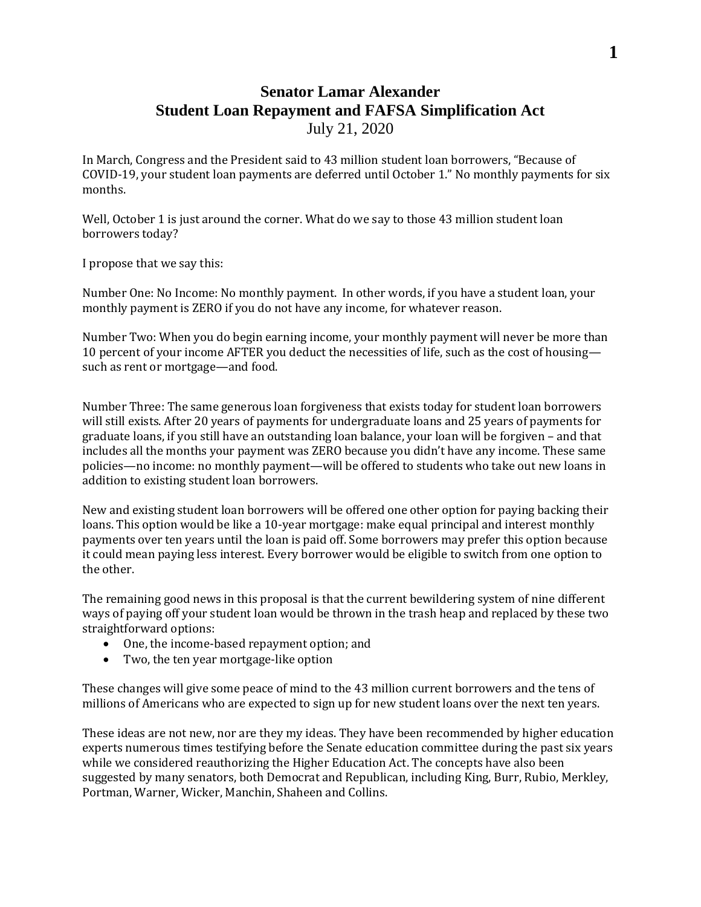## **Senator Lamar Alexander Student Loan Repayment and FAFSA Simplification Act** July 21, 2020

In March, Congress and the President said to 43 million student loan borrowers, "Because of COVID-19, your student loan payments are deferred until October 1." No monthly payments for six months.

Well, October 1 is just around the corner. What do we say to those 43 million student loan borrowers today?

I propose that we say this:

Number One: No Income: No monthly payment. In other words, if you have a student loan, your monthly payment is ZERO if you do not have any income, for whatever reason.

Number Two: When you do begin earning income, your monthly payment will never be more than 10 percent of your income AFTER you deduct the necessities of life, such as the cost of housing such as rent or mortgage—and food.

Number Three: The same generous loan forgiveness that exists today for student loan borrowers will still exists. After 20 years of payments for undergraduate loans and 25 years of payments for graduate loans, if you still have an outstanding loan balance, your loan will be forgiven – and that includes all the months your payment was ZERO because you didn't have any income. These same policies—no income: no monthly payment—will be offered to students who take out new loans in addition to existing student loan borrowers.

New and existing student loan borrowers will be offered one other option for paying backing their loans. This option would be like a 10-year mortgage: make equal principal and interest monthly payments over ten years until the loan is paid off. Some borrowers may prefer this option because it could mean paying less interest. Every borrower would be eligible to switch from one option to the other.

The remaining good news in this proposal is that the current bewildering system of nine different ways of paying off your student loan would be thrown in the trash heap and replaced by these two straightforward options:

- One, the income-based repayment option; and
- Two, the ten year mortgage-like option

These changes will give some peace of mind to the 43 million current borrowers and the tens of millions of Americans who are expected to sign up for new student loans over the next ten years.

These ideas are not new, nor are they my ideas. They have been recommended by higher education experts numerous times testifying before the Senate education committee during the past six years while we considered reauthorizing the Higher Education Act. The concepts have also been suggested by many senators, both Democrat and Republican, including King, Burr, Rubio, Merkley, Portman, Warner, Wicker, Manchin, Shaheen and Collins.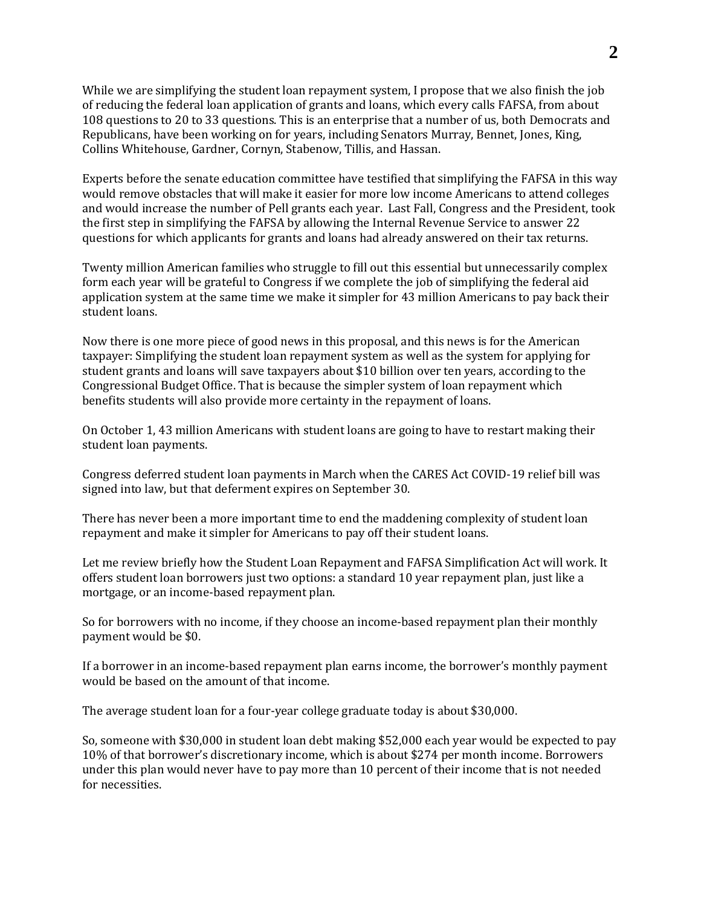While we are simplifying the student loan repayment system, I propose that we also finish the job of reducing the federal loan application of grants and loans, which every calls FAFSA, from about 108 questions to 20 to 33 questions. This is an enterprise that a number of us, both Democrats and Republicans, have been working on for years, including Senators Murray, Bennet, Jones, King, Collins Whitehouse, Gardner, Cornyn, Stabenow, Tillis, and Hassan.

Experts before the senate education committee have testified that simplifying the FAFSA in this way would remove obstacles that will make it easier for more low income Americans to attend colleges and would increase the number of Pell grants each year. Last Fall, Congress and the President, took the first step in simplifying the FAFSA by allowing the Internal Revenue Service to answer 22 questions for which applicants for grants and loans had already answered on their tax returns.

Twenty million American families who struggle to fill out this essential but unnecessarily complex form each year will be grateful to Congress if we complete the job of simplifying the federal aid application system at the same time we make it simpler for 43 million Americans to pay back their student loans.

Now there is one more piece of good news in this proposal, and this news is for the American taxpayer: Simplifying the student loan repayment system as well as the system for applying for student grants and loans will save taxpayers about \$10 billion over ten years, according to the Congressional Budget Office. That is because the simpler system of loan repayment which benefits students will also provide more certainty in the repayment of loans.

On October 1, 43 million Americans with student loans are going to have to restart making their student loan payments.

Congress deferred student loan payments in March when the CARES Act COVID-19 relief bill was signed into law, but that deferment expires on September 30.

There has never been a more important time to end the maddening complexity of student loan repayment and make it simpler for Americans to pay off their student loans.

Let me review briefly how the Student Loan Repayment and FAFSA Simplification Act will work. It offers student loan borrowers just two options: a standard 10 year repayment plan, just like a mortgage, or an income-based repayment plan.

So for borrowers with no income, if they choose an income-based repayment plan their monthly payment would be \$0.

If a borrower in an income-based repayment plan earns income, the borrower's monthly payment would be based on the amount of that income.

The average student loan for a four-year college graduate today is about \$30,000.

So, someone with \$30,000 in student loan debt making \$52,000 each year would be expected to pay 10% of that borrower's discretionary income, which is about \$274 per month income. Borrowers under this plan would never have to pay more than 10 percent of their income that is not needed for necessities.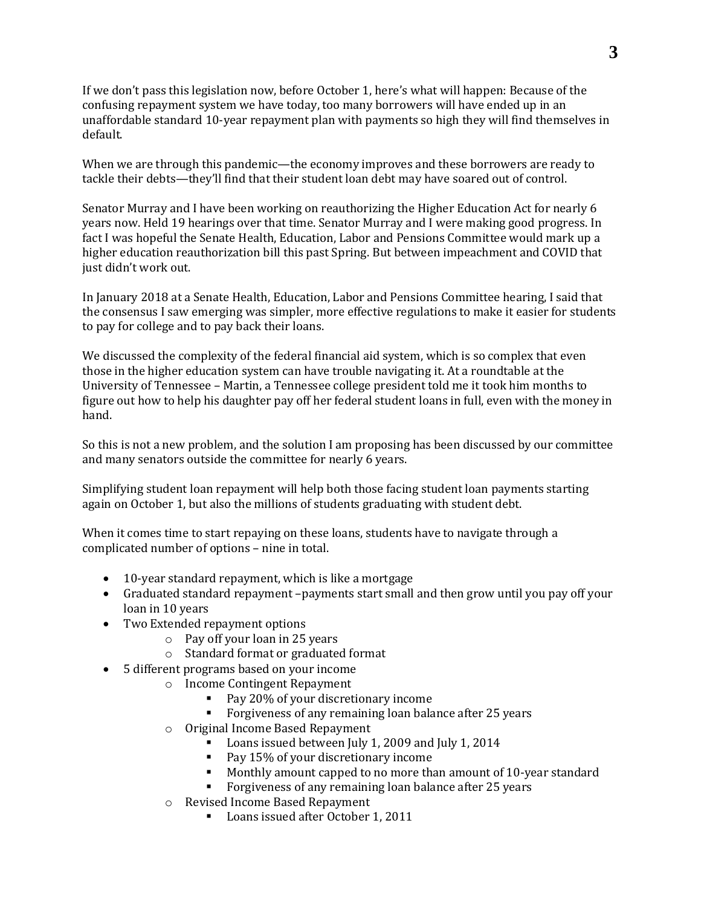If we don't pass this legislation now, before October 1, here's what will happen: Because of the confusing repayment system we have today, too many borrowers will have ended up in an unaffordable standard 10-year repayment plan with payments so high they will find themselves in default.

When we are through this pandemic—the economy improves and these borrowers are ready to tackle their debts—they'll find that their student loan debt may have soared out of control.

Senator Murray and I have been working on reauthorizing the Higher Education Act for nearly 6 years now. Held 19 hearings over that time. Senator Murray and I were making good progress. In fact I was hopeful the Senate Health, Education, Labor and Pensions Committee would mark up a higher education reauthorization bill this past Spring. But between impeachment and COVID that just didn't work out.

In January 2018 at a Senate Health, Education, Labor and Pensions Committee hearing, I said that the consensus I saw emerging was simpler, more effective regulations to make it easier for students to pay for college and to pay back their loans.

We discussed the complexity of the federal financial aid system, which is so complex that even those in the higher education system can have trouble navigating it. At a roundtable at the University of Tennessee – Martin, a Tennessee college president told me it took him months to figure out how to help his daughter pay off her federal student loans in full, even with the money in hand.

So this is not a new problem, and the solution I am proposing has been discussed by our committee and many senators outside the committee for nearly 6 years.

Simplifying student loan repayment will help both those facing student loan payments starting again on October 1, but also the millions of students graduating with student debt.

When it comes time to start repaying on these loans, students have to navigate through a complicated number of options – nine in total.

- 10-year standard repayment, which is like a mortgage
- Graduated standard repayment –payments start small and then grow until you pay off your loan in 10 years
- Two Extended repayment options
	- o Pay off your loan in 25 years
	- o Standard format or graduated format
- 5 different programs based on your income
	- o Income Contingent Repayment
		- Pay 20% of your discretionary income
		- Forgiveness of any remaining loan balance after 25 years
	- o Original Income Based Repayment
		- Loans issued between July 1, 2009 and July 1, 2014
		- Pay 15% of your discretionary income
		- Monthly amount capped to no more than amount of 10-year standard
		- **Forgiveness of any remaining loan balance after 25 years**
	- o Revised Income Based Repayment
		- Loans issued after October 1, 2011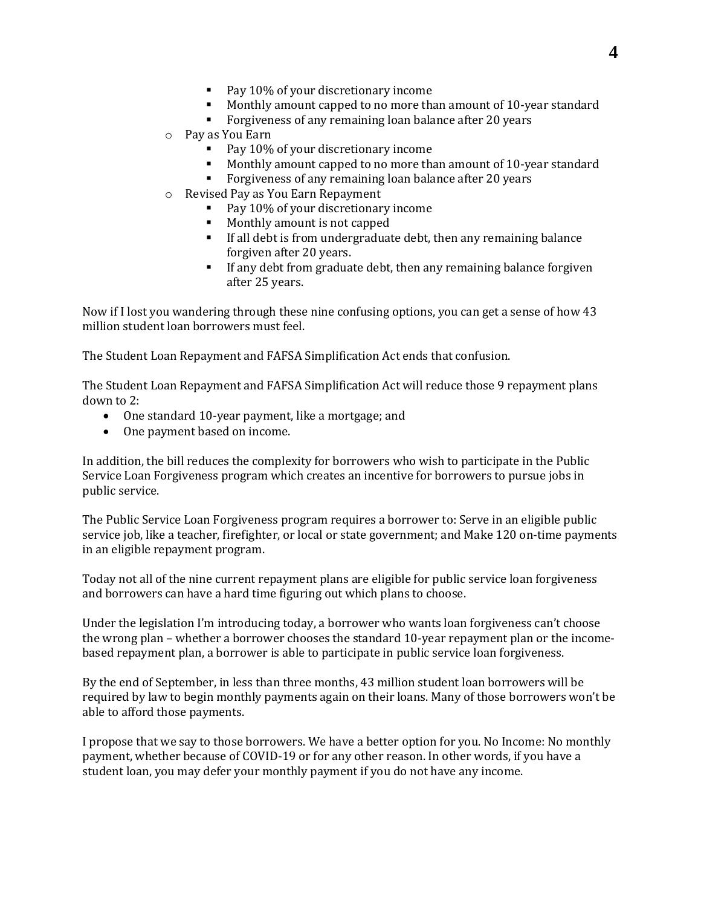- Pay 10% of your discretionary income
- Monthly amount capped to no more than amount of 10-year standard
- Forgiveness of any remaining loan balance after 20 years
- o Pay as You Earn
	- Pay 10% of your discretionary income
	- Monthly amount capped to no more than amount of 10-year standard
	- **Forgiveness of any remaining loan balance after 20 years**
- o Revised Pay as You Earn Repayment
	- Pay 10% of your discretionary income
	- **Monthly amount is not capped**
	- If all debt is from undergraduate debt, then any remaining balance forgiven after 20 years.
	- If any debt from graduate debt, then any remaining balance forgiven after 25 years.

Now if I lost you wandering through these nine confusing options, you can get a sense of how 43 million student loan borrowers must feel.

The Student Loan Repayment and FAFSA Simplification Act ends that confusion.

The Student Loan Repayment and FAFSA Simplification Act will reduce those 9 repayment plans down to 2:

- One standard 10-year payment, like a mortgage; and
- One payment based on income.

In addition, the bill reduces the complexity for borrowers who wish to participate in the Public Service Loan Forgiveness program which creates an incentive for borrowers to pursue jobs in public service.

The Public Service Loan Forgiveness program requires a borrower to: Serve in an eligible public service job, like a teacher, firefighter, or local or state government; and Make 120 on-time payments in an eligible repayment program.

Today not all of the nine current repayment plans are eligible for public service loan forgiveness and borrowers can have a hard time figuring out which plans to choose.

Under the legislation I'm introducing today, a borrower who wants loan forgiveness can't choose the wrong plan – whether a borrower chooses the standard 10-year repayment plan or the incomebased repayment plan, a borrower is able to participate in public service loan forgiveness.

By the end of September, in less than three months, 43 million student loan borrowers will be required by law to begin monthly payments again on their loans. Many of those borrowers won't be able to afford those payments.

I propose that we say to those borrowers. We have a better option for you. No Income: No monthly payment, whether because of COVID-19 or for any other reason. In other words, if you have a student loan, you may defer your monthly payment if you do not have any income.